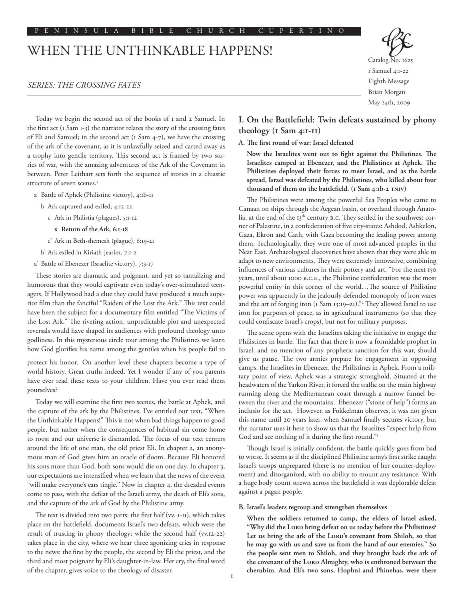#### P E N I N S U L A B I B L E C H U R C H C U P E R T I N O

# WHEN THE UNTHINKABLE HAPPENS!

# *SERIES: THE CROSSING FATES*



Today we begin the second act of the books of 1 and 2 Samuel. In the first act (1 Sam 1-3) the narrator relates the story of the crossing fates of Eli and Samuel; in the second act (1 Sam 4-7), we have the crossing of the ark of the covenant, as it is unlawfully seized and carted away as a trophy into gentile territory. This second act is framed by two stories of war, with the amazing adventures of the Ark of the Covenant in between. Peter Leithart sets forth the sequence of stories in a chiastic structure of seven scenes.<sup>1</sup>

- a Battle of Aphek (Philistine victory), 4:1b-11
	- b Ark captured and exiled, 4:12-22
		- c Ark in Philistia (plagues), 5:1-12
			- **x Return of the Ark, 6:1-18**
		- c' Ark in Beth-shemesh (plague), 6:19-21
	- b' Ark exiled in Kiriath-jearim, 7:1-2
- a' Battle of Ebenezer (Israelite victory), 7:3-17

These stories are dramatic and poignant, and yet so tantalizing and humorous that they would captivate even today's over-stimulated teenagers. If Hollywood had a clue they could have produced a much superior film than the fanciful "Raiders of the Lost the Ark." This text could have been the subject for a documentary film entitled "The Victims of the Lost Ark." The riveting action, unpredictable plot and unexpected reversals would have shaped its audiences with profound theology unto godliness. In this mysterious circle tour among the Philistines we learn how God glorifies his name among the gentiles when his people fail to

protect his honor. On another level these chapters become a type of world history. Great truths indeed. Yet I wonder if any of you parents have ever read these texts to your children. Have you ever read them yourselves?

Today we will examine the first two scenes, the battle at Aphek, and the capture of the ark by the Philistines. I've entitled our text, "When the Unthinkable Happens!" This is not when bad things happen to good people, but rather when the consequences of habitual sin come home to roost and our universe is dismantled. The focus of our text centers around the life of one man, the old priest Eli. In chapter 2, an anonymous man of God gives him an oracle of doom. Because Eli honored his sons more than God, both sons would die on one day. In chapter 3, our expectations are intensified when we learn that the news of the event "will make everyone's ears tingle." Now in chapter 4, the dreaded events come to pass, with the defeat of the Israeli army, the death of Eli's sons, and the capture of the ark of God by the Philistine army.

The text is divided into two parts: the first half (vv. 1-11), which takes place on the battlefield, documents Israel's two defeats, which were the result of trusting in phony theology; while the second half (vv.12-22) takes place in the city, where we hear three agonizing cries in response to the news: the first by the people, the second by Eli the priest, and the third and most poignant by Eli's daughter-in-law. Her cry, the final word of the chapter, gives voice to the theology of disaster.

**I. On the Battlefield: Twin defeats sustained by phony theology (1 Sam 4:1-11)**

# **A. The first round of war: Israel defeated**

**Now the Israelites went out to fight against the Philistines. The Israelites camped at Ebenezer, and the Philistines at Aphek. The Philistines deployed their forces to meet Israel, and as the battle spread, Israel was defeated by the Philistines, who killed about four thousand of them on the battlefield. (1 Sam 4:1b-2 tniv)**

The Philistines were among the powerful Sea Peoples who came to Canaan on ships through the Aegean basin, or overland through Anatolia, at the end of the 13<sup>th</sup> century B.C. They settled in the southwest corner of Palestine, in a confederation of five city-states: Ashdod, Ashkelon, Gaza, Ekron and Gath, with Gaza becoming the leading power among them. Technologically, they were one of most advanced peoples in the Near East. Archaeological discoveries have shown that they were able to adapt to new environments. They were extremely innovative, combining influences of various cultures in their pottery and art. "For the next 150 years, until about 1000 b.c.e., the Philistine confederation was the most powerful entity in this corner of the world…The source of Philistine power was apparently in the jealously defended monopoly of iron wares and the art of forging iron (1 Sam 13:19–21)."2 They allowed Israel to use iron for purposes of peace, as in agricultural instruments (so that they could confiscate Israel's crops), but not for military purposes.

The scene opens with the Israelites taking the initiative to engage the Philistines in battle. The fact that there is now a formidable prophet in Israel, and no mention of any prophetic sanction for this war, should give us pause. The two armies prepare for engagement in opposing camps, the Israelites in Ebenezer, the Philistines in Aphek. From a military point of view, Aphek was a strategic stronghold. Situated at the headwaters of the Yarkon River, it forced the traffic on the main highway running along the Mediterranean coast through a narrow funnel between the river and the mountains. Ebenezer ("stone of help") forms an inclusio for the act. However, as Fokkelman observes, it was not given this name until 20 years later, when Samuel finally secures victory, but the narrator uses it here to show us that the Israelites "expect help from God and see nothing of it during the first round."3

Though Israel is initially confident, the battle quickly goes from bad to worse. It seems as if the disciplined Philistine army's first strike caught Israel's troops unprepared (there is no mention of her counter-deployment) and disorganized, with no ability to mount any resistance. With a huge body count strewn across the battlefield it was deplorable defeat against a pagan people.

#### **B. Israel's leaders regroup and strengthen themselves**

**When the soldiers returned to camp, the elders of Israel asked, "Why did the Lord bring defeat on us today before the Philistines? Let us bring the ark of the Lord's covenant from Shiloh, so that he may go with us and save us from the hand of our enemies." So the people sent men to Shiloh, and they brought back the ark of the covenant of the Lord Almighty, who is enthroned between the cherubim. And Eli's two sons, Hophni and Phinehas, were there**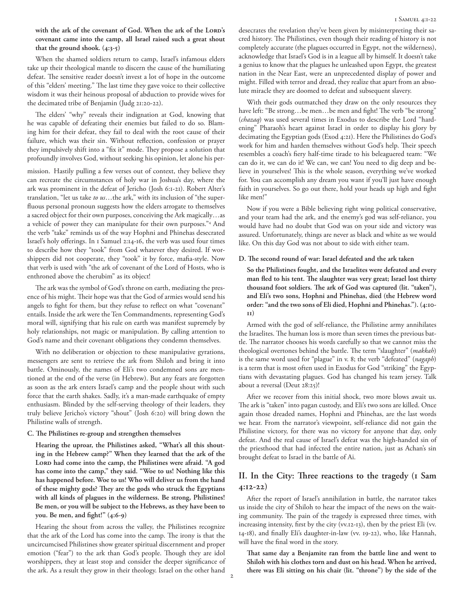**with the ark of the covenant of God. When the ark of the Lord's covenant came into the camp, all Israel raised such a great shout that the ground shook. (4:3-5)**

When the shamed soldiers return to camp, Israel's infamous elders take up their theological mantle to discern the cause of the humiliating defeat. The sensitive reader doesn't invest a lot of hope in the outcome of this "elders' meeting." The last time they gave voice to their collective wisdom it was their heinous proposal of abduction to provide wives for the decimated tribe of Benjamin (Judg 21:20-22).

The elders' "why" reveals their indignation at God, knowing that he was capable of defeating their enemies but failed to do so. Blaming him for their defeat, they fail to deal with the root cause of their failure, which was their sin. Without reflection, confession or prayer they impulsively shift into a "fix it" mode. They propose a solution that profoundly involves God, without seeking his opinion, let alone his per-

mission. Hastily pulling a few verses out of context, they believe they can recreate the circumstances of holy war in Joshua's day, where the ark was prominent in the defeat of Jericho (Josh 6:1-21). Robert Alter's translation, "let us take *to us*…the ark," with its inclusion of "the superfluous personal pronoun suggests how the elders arrogate to themselves a sacred object for their own purposes, conceiving the Ark magically…as a vehicle of power they can manipulate for their own purposes."4 And the verb "take" reminds us of the way Hophni and Phinehas desecrated Israel's holy offerings. In 1 Samuel 2:14-16, the verb was used four times to describe how they "took" from God whatever they desired. If worshippers did not cooperate, they "took" it by force, mafia-style. Now that verb is used with "the ark of covenant of the Lord of Hosts, who is enthroned above the cherubim" as its object!

The ark was the symbol of God's throne on earth, mediating the presence of his might. Their hope was that the God of armies would send his angels to fight for them, but they refuse to reflect on what "covenant" entails. Inside the ark were the Ten Commandments, representing God's moral will, signifying that his rule on earth was manifest supremely by holy relationships, not magic or manipulation. By calling attention to God's name and their covenant obligations they condemn themselves.

With no deliberation or objection to these manipulative gyrations, messengers are sent to retrieve the ark from Shiloh and bring it into battle. Ominously, the names of Eli's two condemned sons are mentioned at the end of the verse (in Hebrew). But any fears are forgotten as soon as the ark enters Israel's camp and the people shout with such force that the earth shakes. Sadly, it's a man-made earthquake of empty enthusiasm. Blinded by the self-serving theology of their leaders, they truly believe Jericho's victory "shout" (Josh 6:20) will bring down the Philistine walls of strength.

### **C. The Philistines re-group and strengthen themselves**

**Hearing the uproar, the Philistines asked, "What's all this shouting in the Hebrew camp?" When they learned that the ark of the Lord had come into the camp, the Philistines were afraid. "A god has come into the camp," they said. "Woe to us! Nothing like this has happened before. Woe to us! Who will deliver us from the hand of these mighty gods? They are the gods who struck the Egyptians with all kinds of plagues in the wilderness. Be strong, Philistines! Be men, or you will be subject to the Hebrews, as they have been to you. Be men, and fight!" (4:6-9)**

Hearing the shout from across the valley, the Philistines recognize that the ark of the Lord has come into the camp. The irony is that the uncircumcised Philistines show greater spiritual discernment and proper emotion ("fear") to the ark than God's people. Though they are idol worshippers, they at least stop and consider the deeper significance of the ark. As a result they grow in their theology. Israel on the other hand

desecrates the revelation they've been given by misinterpreting their sacred history. The Philistines, even though their reading of history is not completely accurate (the plagues occurred in Egypt, not the wilderness), acknowledge that Israel's God is in a league all by himself. It doesn't take a genius to know that the plagues he unleashed upon Egypt, the greatest nation in the Near East, were an unprecedented display of power and might. Filled with terror and dread, they realize that apart from an absolute miracle they are doomed to defeat and subsequent slavery.

With their gods outmatched they draw on the only resources they have left: "Be strong…be men…be men and fight! The verb "be strong" (*chazaq*) was used several times in Exodus to describe the Lord "hardening" Pharaoh's heart against Israel in order to display his glory by decimating the Egyptian gods (Exod 4:21). Here the Philistines do God's work for him and harden themselves without God's help. Their speech resembles a coach's fiery half-time tirade to his beleaguered team: "We can do it, we can do it! We can, we can! You need to dig deep and believe in yourselves! This is the whole season, everything we've worked for. You can accomplish any dream you want if you'll just have enough faith in yourselves. So go out there, hold your heads up high and fight like men!"

Now if you were a Bible believing right wing political conservative, and your team had the ark, and the enemy's god was self-reliance, you would have had no doubt that God was on your side and victory was assured. Unfortunately, things are never as black and white as we would like. On this day God was not about to side with either team.

## **D. The second round of war: Israel defeated and the ark taken**

**So the Philistines fought, and the Israelites were defeated and every man fled to his tent. The slaughter was very great; Israel lost thirty thousand foot soldiers. The ark of God was captured (lit. "taken"), and Eli's two sons, Hophni and Phinehas, died (the Hebrew word order: "and the two sons of Eli died, Hophni and Phinehas."). (4:10- 11)**

Armed with the god of self-reliance, the Philistine army annihilates the Israelites. The human loss is more than seven times the previous battle. The narrator chooses his words carefully so that we cannot miss the theological overtones behind the battle. The term "slaughter" (*makkah*) is the same word used for "plague" in v. 8; the verb "defeated" (*nagaph*) is a term that is most often used in Exodus for God "striking" the Egyptians with devastating plagues. God has changed his team jersey. Talk about a reversal (Deut 28:25)!

After we recover from this initial shock, two more blows await us. The ark is "taken" into pagan custody, and Eli's two sons are killed. Once again those dreaded names, Hophni and Phinehas, are the last words we hear. From the narrator's viewpoint, self-reliance did not gain the Philistine victory, for there was no victory for anyone that day, only defeat. And the real cause of Israel's defeat was the high-handed sin of the priesthood that had infected the entire nation, just as Achan's sin brought defeat to Israel in the battle of Ai.

# **II. In the City: Three reactions to the tragedy (1 Sam 4:12-22)**

After the report of Israel's annihilation in battle, the narrator takes us inside the city of Shiloh to hear the impact of the news on the waiting community. The pain of the tragedy is expressed three times, with increasing intensity, first by the city (vv.12-13), then by the priest Eli (vv. 14-18), and finally Eli's daughter-in-law (vv. 19-22), who, like Hannah, will have the final word in the story.

**That same day a Benjamite ran from the battle line and went to Shiloh with his clothes torn and dust on his head. When he arrived, there was Eli sitting on his chair (lit. "throne") by the side of the**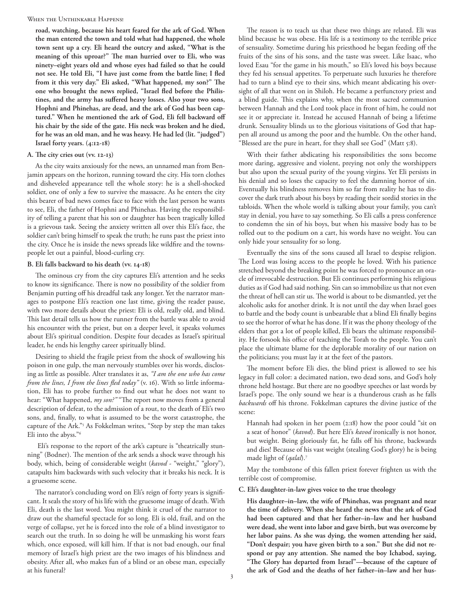When the Unthinkable Happens!

**road, watching, because his heart feared for the ark of God. When the man entered the town and told what had happened, the whole town sent up a cry. Eli heard the outcry and asked, "What is the meaning of this uproar?" The man hurried over to Eli, who was ninety–eight years old and whose eyes had failed so that he could not see. He told Eli, "I have just come from the battle line; I fled from it this very day." Eli asked, "What happened, my son?" The one who brought the news replied, "Israel fled before the Philistines, and the army has suffered heavy losses. Also your two sons, Hophni and Phinehas, are dead, and the ark of God has been captured." When he mentioned the ark of God, Eli fell backward off his chair by the side of the gate. His neck was broken and he died, for he was an old man, and he was heavy. He had led (lit. "judged") Israel forty years. (4:12-18)**

## **A. The city cries out (vv. 12-13)**

As the city waits anxiously for the news, an unnamed man from Benjamin appears on the horizon, running toward the city. His torn clothes and disheveled appearance tell the whole story: he is a shell-shocked soldier, one of only a few to survive the massacre. As he enters the city this bearer of bad news comes face to face with the last person he wants to see, Eli, the father of Hophni and Phinehas. Having the responsibility of telling a parent that his son or daughter has been tragically killed is a grievous task. Seeing the anxiety written all over this Eli's face, the soldier can't bring himself to speak the truth; he runs past the priest into the city. Once he is inside the news spreads like wildfire and the townspeople let out a painful, blood-curling cry.

## **B. Eli falls backward to his death (vv. 14-18)**

The ominous cry from the city captures Eli's attention and he seeks to know its significance. There is now no possibility of the soldier from Benjamin putting off his dreadful task any longer. Yet the narrator manages to postpone Eli's reaction one last time, giving the reader pause, with two more details about the priest: Eli is old, really old, and blind. This last detail tells us how the runner from the battle was able to avoid his encounter with the priest, but on a deeper level, it speaks volumes about Eli's spiritual condition. Despite four decades as Israel's spiritual leader, he ends his lengthy career spiritually blind.

Desiring to shield the fragile priest from the shock of swallowing his poison in one gulp, the man nervously stumbles over his words, disclosing as little as possible. Alter translates it as, *"I am the one who has come from the lines, I from the lines fled today"* (v. 16). With so little information, Eli has to probe further to find out what he does not want to hear: "What happened, *my son?"* "The report now moves from a general description of defeat, to the admission of a rout, to the death of Eli's two sons, and, finally, to what is assumed to be the worst catastrophe, the capture of the Ark."5 As Fokkelman writes, "Step by step the man takes Eli into the abyss."6

 Eli's response to the report of the ark's capture is "theatrically stunning" (Bodner). The mention of the ark sends a shock wave through his body, which, being of considerable weight (*kavod* - "weight," "glory"), catapults him backwards with such velocity that it breaks his neck. It is a gruesome scene.

The narrator's concluding word on Eli's reign of forty years is significant. It seals the story of his life with the gruesome image of death. With Eli, death is the last word. You might think it cruel of the narrator to draw out the shameful spectacle for so long. Eli is old, frail, and on the verge of collapse, yet he is forced into the role of a blind investigator to search out the truth. In so doing he will be unmasking his worst fears which, once exposed, will kill him. If that is not bad enough, our final memory of Israel's high priest are the two images of his blindness and obesity. After all, who makes fun of a blind or an obese man, especially at his funeral?

The reason is to teach us that these two things are related. Eli was blind because he was obese. His life is a testimony to the terrible price of sensuality. Sometime during his priesthood he began feeding off the fruits of the sins of his sons, and the taste was sweet. Like Isaac, who loved Esau "for the game in his mouth," so Eli's loved his boys because they fed his sensual appetites. To perpetuate such luxuries he therefore had to turn a blind eye to their sins, which meant abdicating his oversight of all that went on in Shiloh. He became a perfunctory priest and a blind guide. This explains why, when the most sacred communion between Hannah and the Lord took place in front of him, he could not see it or appreciate it. Instead he accused Hannah of being a lifetime drunk. Sensuality blinds us to the glorious visitations of God that happen all around us among the poor and the humble. On the other hand, "Blessed are the pure in heart, for they shall see God" (Matt 5:8).

With their father abdicating his responsibilities the sons become more daring, aggressive and violent, preying not only the worshippers but also upon the sexual purity of the young virgins. Yet Eli persists in his denial and so loses the capacity to feel the damning horror of sin. Eventually his blindness removes him so far from reality he has to discover the dark truth about his boys by reading their sordid stories in the tabloids. When the whole world is talking about your family, you can't stay in denial, you have to say something. So Eli calls a press conference to condemn the sin of his boys, but when his massive body has to be rolled out to the podium on a cart, his words have no weight. You can only hide your sensuality for so long.

Eventually the sins of the sons caused all Israel to despise religion. The Lord was losing access to the people he loved. With his patience stretched beyond the breaking point he was forced to pronounce an oracle of irrevocable destruction. But Eli continues performing his religious duties as if God had said nothing. Sin can so immobilize us that not even the threat of hell can stir us. The world is about to be dismantled, yet the alcoholic asks for another drink. It is not until the day when Israel goes to battle and the body count is unbearable that a blind Eli finally begins to see the horror of what he has done. If it was the phony theology of the elders that got a lot of people killed, Eli bears the ultimate responsibility. He forsook his office of teaching the Torah to the people. You can't place the ultimate blame for the deplorable morality of our nation on the politicians; you must lay it at the feet of the pastors.

The moment before Eli dies, the blind priest is allowed to see his legacy in full color: a decimated nation, two dead sons, and God's holy throne held hostage. But there are no goodbye speeches or last words by Israel's pope. The only sound we hear is a thunderous crash as he falls *backwards* off his throne. Fokkelman captures the divine justice of the scene:

Hannah had spoken in her poem (2:18) how the poor could "sit on a seat of honor" (*kavod*). But here Eli's *kavod* ironically is not honor, but weight. Being gloriously fat, he falls off his throne, backwards and dies! Because of his vast weight (stealing God's glory) he is being made light of (*qalal*).7

May the tombstone of this fallen priest forever frighten us with the terrible cost of compromise.

#### **C. Eli's daughter-in-law gives voice to the true theology**

**His daughter–in–law, the wife of Phinehas, was pregnant and near the time of delivery. When she heard the news that the ark of God had been captured and that her father–in–law and her husband were dead, she went into labor and gave birth, but was overcome by her labor pains. As she was dying, the women attending her said, "Don't despair; you have given birth to a son." But she did not respond or pay any attention. She named the boy Ichabod, saying, "The Glory has departed from Israel"—because of the capture of the ark of God and the deaths of her father–in–law and her hus-**